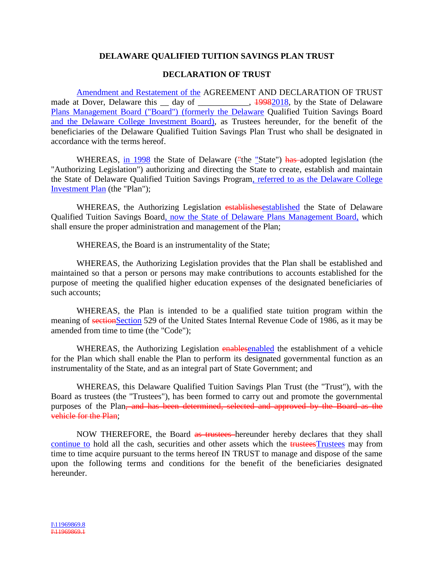## **DELAWARE QUALIFIED TUITION SAVINGS PLAN TRUST**

## **DECLARATION OF TRUST**

Amendment and Restatement of the AGREEMENT AND DECLARATION OF TRUST made at Dover, Delaware this \_ day of \_\_\_\_\_\_\_\_\_, 19982018, by the State of Delaware Plans Management Board ("Board") (formerly the Delaware Qualified Tuition Savings Board and the Delaware College Investment Board), as Trustees hereunder, for the benefit of the beneficiaries of the Delaware Qualified Tuition Savings Plan Trust who shall be designated in accordance with the terms hereof.

WHEREAS, in 1998 the State of Delaware ("the "State") has adopted legislation (the "Authorizing Legislation") authorizing and directing the State to create, establish and maintain the State of Delaware Qualified Tuition Savings Program, referred to as the Delaware College Investment Plan (the "Plan");

WHEREAS, the Authorizing Legislation establishesestablished the State of Delaware Qualified Tuition Savings Board, now the State of Delaware Plans Management Board, which shall ensure the proper administration and management of the Plan;

WHEREAS, the Board is an instrumentality of the State;

WHEREAS, the Authorizing Legislation provides that the Plan shall be established and maintained so that a person or persons may make contributions to accounts established for the purpose of meeting the qualified higher education expenses of the designated beneficiaries of such accounts;

WHEREAS, the Plan is intended to be a qualified state tuition program within the meaning of sectionSection 529 of the United States Internal Revenue Code of 1986, as it may be amended from time to time (the "Code");

WHEREAS, the Authorizing Legislation enablesenabled the establishment of a vehicle for the Plan which shall enable the Plan to perform its designated governmental function as an instrumentality of the State, and as an integral part of State Government; and

WHEREAS, this Delaware Qualified Tuition Savings Plan Trust (the "Trust"), with the Board as trustees (the "Trustees"), has been formed to carry out and promote the governmental purposes of the Plan, and has been determined, selected and approved by the Board as the vehicle for the Plan;

NOW THEREFORE, the Board as trustees hereunder hereby declares that they shall continue to hold all the cash, securities and other assets which the trusteesTrustees may from time to time acquire pursuant to the terms hereof IN TRUST to manage and dispose of the same upon the following terms and conditions for the benefit of the beneficiaries designated hereunder.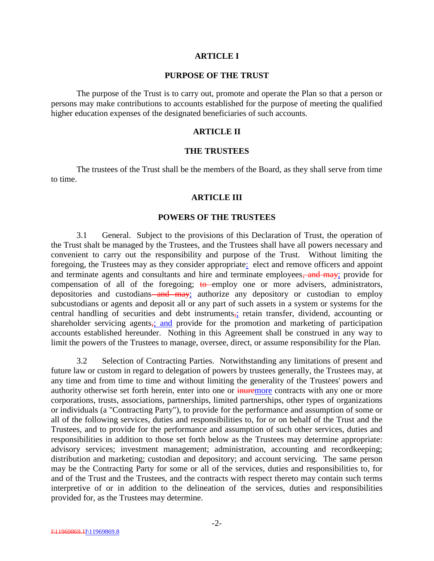#### **ARTICLE I**

#### **PURPOSE OF THE TRUST**

The purpose of the Trust is to carry out, promote and operate the Plan so that a person or persons may make contributions to accounts established for the purpose of meeting the qualified higher education expenses of the designated beneficiaries of such accounts.

#### **ARTICLE II**

#### **THE TRUSTEES**

The trustees of the Trust shall be the members of the Board, as they shall serve from time to time.

#### **ARTICLE III**

#### **POWERS OF THE TRUSTEES**

3.1 General. Subject to the provisions of this Declaration of Trust, the operation of the Trust shalt be managed by the Trustees, and the Trustees shall have all powers necessary and convenient to carry out the responsibility and purpose of the Trust. Without limiting the foregoing, the Trustees may as they consider appropriate: elect and remove officers and appoint and terminate agents and consultants and hire and terminate employees, and may; provide for compensation of all of the foregoing; to employ one or more advisers, administrators, depositories and custodians—and may; authorize any depository or custodian to employ subcustodians or agents and deposit all or any part of such assets in a system or systems for the central handling of securities and debt instruments, retain transfer, dividend, accounting or shareholder servicing agents<sub>5</sub>; and provide for the promotion and marketing of participation accounts established hereunder. Nothing in this Agreement shall be construed in any way to limit the powers of the Trustees to manage, oversee, direct, or assume responsibility for the Plan.

3.2 Selection of Contracting Parties. Notwithstanding any limitations of present and future law or custom in regard to delegation of powers by trustees generally, the Trustees may, at any time and from time to time and without limiting the generality of the Trustees' powers and authority otherwise set forth herein, enter into one or inuremore contracts with any one or more corporations, trusts, associations, partnerships, limited partnerships, other types of organizations or individuals (a "Contracting Party"), to provide for the performance and assumption of some or all of the following services, duties and responsibilities to, for or on behalf of the Trust and the Trustees, and to provide for the performance and assumption of such other services, duties and responsibilities in addition to those set forth below as the Trustees may determine appropriate: advisory services; investment management; administration, accounting and recordkeeping; distribution and marketing; custodian and depository; and account servicing. The same person may be the Contracting Party for some or all of the services, duties and responsibilities to, for and of the Trust and the Trustees, and the contracts with respect thereto may contain such terms interpretive of or in addition to the delineation of the services, duties and responsibilities provided for, as the Trustees may determine.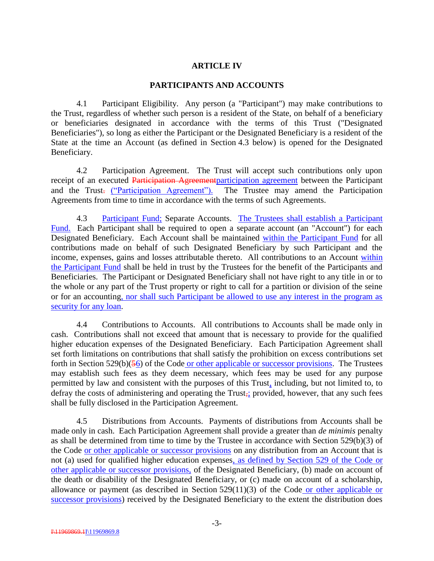## **ARTICLE IV**

### **PARTICIPANTS AND ACCOUNTS**

4.1 Participant Eligibility. Any person (a "Participant") may make contributions to the Trust, regardless of whether such person is a resident of the State, on behalf of a beneficiary or beneficiaries designated in accordance with the terms of this Trust ("Designated Beneficiaries"), so long as either the Participant or the Designated Beneficiary is a resident of the State at the time an Account (as defined in Section 4.3 below) is opened for the Designated Beneficiary.

4.2 Participation Agreement. The Trust will accept such contributions only upon receipt of an executed Participation Agreement participation agreement between the Participant and the Trust. ("Participation Agreement"). The Trustee may amend the Participation Agreements from time to time in accordance with the terms of such Agreements.

4.3 Participant Fund; Separate Accounts. The Trustees shall establish a Participant Fund. Each Participant shall be required to open a separate account (an "Account") for each Designated Beneficiary. Each Account shall be maintained within the Participant Fund for all contributions made on behalf of such Designated Beneficiary by such Participant and the income, expenses, gains and losses attributable thereto. All contributions to an Account within the Participant Fund shall be held in trust by the Trustees for the benefit of the Participants and Beneficiaries. The Participant or Designated Beneficiary shall not have right to any title in or to the whole or any part of the Trust property or right to call for a partition or division of the seine or for an accounting, nor shall such Participant be allowed to use any interest in the program as security for any loan.

4.4 Contributions to Accounts. All contributions to Accounts shall be made only in cash. Contributions shall not exceed that amount that is necessary to provide for the qualified higher education expenses of the Designated Beneficiary. Each Participation Agreement shall set forth limitations on contributions that shall satisfy the prohibition on excess contributions set forth in Section 529(b)(56) of the Code or other applicable or successor provisions. The Trustees may establish such fees as they deem necessary, which fees may be used for any purpose permitted by law and consistent with the purposes of this Trust, including, but not limited to, to defray the costs of administering and operating the Trust, provided, however, that any such fees shall be fully disclosed in the Participation Agreement.

4.5 Distributions from Accounts. Payments of distributions from Accounts shall be made only in cash. Each Participation Agreement shall provide a greater than *de minimis* penalty as shall be determined from time to time by the Trustee in accordance with Section 529(b)(3) of the Code or other applicable or successor provisions on any distribution from an Account that is not (a) used for qualified higher education expenses, as defined by Section 529 of the Code or other applicable or successor provisions, of the Designated Beneficiary, (b) made on account of the death or disability of the Designated Beneficiary, or (c) made on account of a scholarship, allowance or payment (as described in Section 529(11)(3) of the Code or other applicable or successor provisions) received by the Designated Beneficiary to the extent the distribution does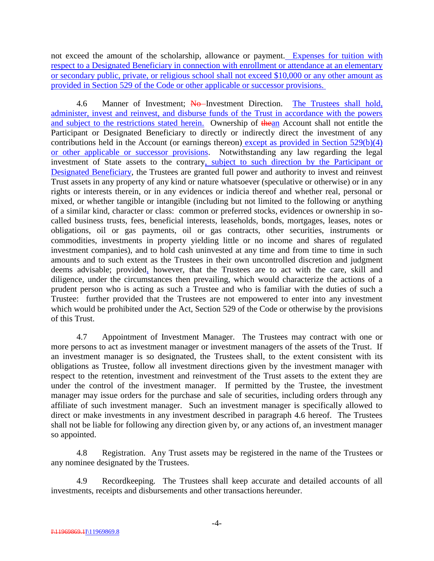not exceed the amount of the scholarship, allowance or payment. Expenses for tuition with respect to a Designated Beneficiary in connection with enrollment or attendance at an elementary or secondary public, private, or religious school shall not exceed \$10,000 or any other amount as provided in Section 529 of the Code or other applicable or successor provisions.

4.6 Manner of Investment; No-Investment Direction. The Trustees shall hold, administer, invest and reinvest, and disburse funds of the Trust in accordance with the powers and subject to the restrictions stated herein. Ownership of thean Account shall not entitle the Participant or Designated Beneficiary to directly or indirectly direct the investment of any contributions held in the Account (or earnings thereon) except as provided in Section 529(b)(4) or other applicable or successor provisions. Notwithstanding any law regarding the legal investment of State assets to the contrary, subject to such direction by the Participant or Designated Beneficiary, the Trustees are granted full power and authority to invest and reinvest Trust assets in any property of any kind or nature whatsoever (speculative or otherwise) or in any rights or interests therein, or in any evidences or indicia thereof and whether real, personal or mixed, or whether tangible or intangible (including but not limited to the following or anything of a similar kind, character or class: common or preferred stocks, evidences or ownership in socalled business trusts, fees, beneficial interests, leaseholds, bonds, mortgages, leases, notes or obligations, oil or gas payments, oil or gas contracts, other securities, instruments or commodities, investments in property yielding little or no income and shares of regulated investment companies), and to hold cash uninvested at any time and from time to time in such amounts and to such extent as the Trustees in their own uncontrolled discretion and judgment deems advisable; provided, however, that the Trustees are to act with the care, skill and diligence, under the circumstances then prevailing, which would characterize the actions of a prudent person who is acting as such a Trustee and who is familiar with the duties of such a Trustee: further provided that the Trustees are not empowered to enter into any investment which would be prohibited under the Act, Section 529 of the Code or otherwise by the provisions of this Trust.

4.7 Appointment of Investment Manager. The Trustees may contract with one or more persons to act as investment manager or investment managers of the assets of the Trust. If an investment manager is so designated, the Trustees shall, to the extent consistent with its obligations as Trustee, follow all investment directions given by the investment manager with respect to the retention, investment and reinvestment of the Trust assets to the extent they are under the control of the investment manager. If permitted by the Trustee, the investment manager may issue orders for the purchase and sale of securities, including orders through any affiliate of such investment manager. Such an investment manager is specifically allowed to direct or make investments in any investment described in paragraph 4.6 hereof. The Trustees shall not be liable for following any direction given by, or any actions of, an investment manager so appointed.

4.8 Registration. Any Trust assets may be registered in the name of the Trustees or any nominee designated by the Trustees.

4.9 Recordkeeping. The Trustees shall keep accurate and detailed accounts of all investments, receipts and disbursements and other transactions hereunder.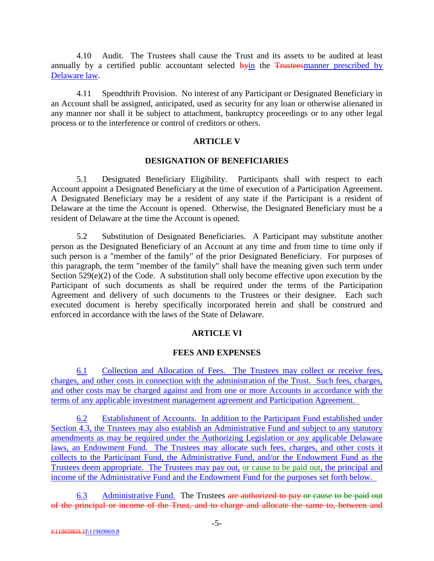4.10 Audit. The Trustees shall cause the Trust and its assets to be audited at least annually by a certified public accountant selected byin the Trusteesmanner prescribed by Delaware law.

4.11 Spendthrift Provision. No interest of any Participant or Designated Beneficiary in an Account shall be assigned, anticipated, used as security for any loan or otherwise alienated in any manner nor shall it be subject to attachment, bankruptcy proceedings or to any other legal process or to the interference or control of creditors or others.

## **ARTICLE V**

#### **DESIGNATION OF BENEFICIARIES**

5.1 Designated Beneficiary Eligibility. Participants shall with respect to each Account appoint a Designated Beneficiary at the time of execution of a Participation Agreement. A Designated Beneficiary may be a resident of any state if the Participant is a resident of Delaware at the time the Account is opened. Otherwise, the Designated Beneficiary must be a resident of Delaware at the time the Account is opened.

5.2 Substitution of Designated Beneficiaries. A Participant may substitute another person as the Designated Beneficiary of an Account at any time and from time to time only if such person is a "member of the family" of the prior Designated Beneficiary. For purposes of this paragraph, the term "member of the family" shall have the meaning given such term under Section 529(e)(2) of the Code. A substitution shall only become effective upon execution by the Participant of such documents as shall be required under the terms of the Participation Agreement and delivery of such documents to the Trustees or their designee. Each such executed document is hereby specifically incorporated herein and shall be construed and enforced in accordance with the laws of the State of Delaware.

## **ARTICLE VI**

## **FEES AND EXPENSES**

6.1 Collection and Allocation of Fees. The Trustees may collect or receive fees, charges, and other costs in connection with the administration of the Trust. Such fees, charges, and other costs may be charged against and from one or more Accounts in accordance with the terms of any applicable investment management agreement and Participation Agreement.

6.2 Establishment of Accounts. In addition to the Participant Fund established under Section 4.3, the Trustees may also establish an Administrative Fund and subject to any statutory amendments as may be required under the Authorizing Legislation or any applicable Delaware laws, an Endowment Fund. The Trustees may allocate such fees, charges, and other costs it collects to the Participant Fund, the Administrative Fund, and/or the Endowment Fund as the Trustees deem appropriate. The Trustees may pay out, or cause to be paid out, the principal and income of the Administrative Fund and the Endowment Fund for the purposes set forth below.

6.3 Administrative Fund. The Trustees are authorized to pay or cause to be paid out of the principal or income of the Trust, and to charge and allocate the same to, between and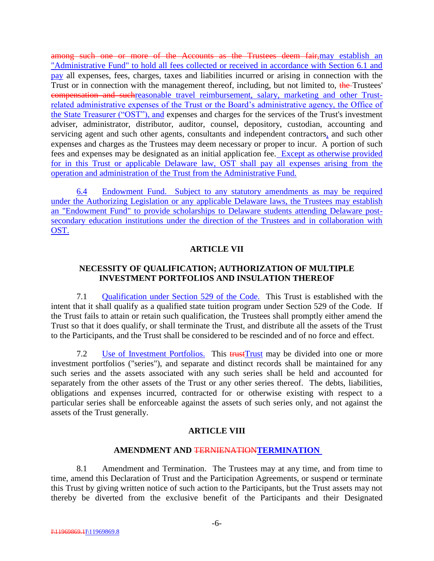among such one or more of the Accounts as the Trustees deem fair, may establish an "Administrative Fund" to hold all fees collected or received in accordance with Section 6.1 and pay all expenses, fees, charges, taxes and liabilities incurred or arising in connection with the Trust or in connection with the management thereof, including, but not limited to, the Trustees' compensation and suchreasonable travel reimbursement, salary, marketing and other Trustrelated administrative expenses of the Trust or the Board's administrative agency, the Office of the State Treasurer ("OST"), and expenses and charges for the services of the Trust's investment adviser, administrator, distributor, auditor, counsel, depository, custodian, accounting and servicing agent and such other agents, consultants and independent contractors, and such other expenses and charges as the Trustees may deem necessary or proper to incur. A portion of such fees and expenses may be designated as an initial application fee. Except as otherwise provided for in this Trust or applicable Delaware law, OST shall pay all expenses arising from the operation and administration of the Trust from the Administrative Fund.

6.4 Endowment Fund. Subject to any statutory amendments as may be required under the Authorizing Legislation or any applicable Delaware laws, the Trustees may establish an "Endowment Fund" to provide scholarships to Delaware students attending Delaware postsecondary education institutions under the direction of the Trustees and in collaboration with OST.

# **ARTICLE VII**

# **NECESSITY OF QUALIFICATION; AUTHORIZATION OF MULTIPLE INVESTMENT PORTFOLIOS AND INSULATION THEREOF**

7.1 Qualification under Section 529 of the Code. This Trust is established with the intent that it shall qualify as a qualified state tuition program under Section 529 of the Code. If the Trust fails to attain or retain such qualification, the Trustees shall promptly either amend the Trust so that it does qualify, or shall terminate the Trust, and distribute all the assets of the Trust to the Participants, and the Trust shall be considered to be rescinded and of no force and effect.

7.2 Use of Investment Portfolios. This trust Trust may be divided into one or more investment portfolios ("series"), and separate and distinct records shall be maintained for any such series and the assets associated with any such series shall be held and accounted for separately from the other assets of the Trust or any other series thereof. The debts, liabilities, obligations and expenses incurred, contracted for or otherwise existing with respect to a particular series shall be enforceable against the assets of such series only, and not against the assets of the Trust generally.

# **ARTICLE VIII**

## **AMENDMENT AND <del>TERNIENATION</del>TERMINATION**

8.1 Amendment and Termination. The Trustees may at any time, and from time to time, amend this Declaration of Trust and the Participation Agreements, or suspend or terminate this Trust by giving written notice of such action to the Participants, but the Trust assets may not thereby be diverted from the exclusive benefit of the Participants and their Designated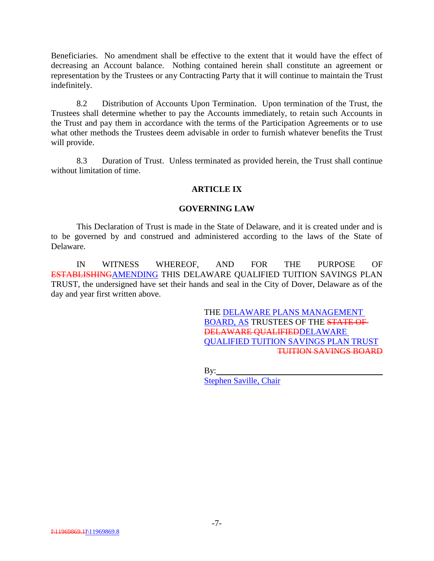Beneficiaries. No amendment shall be effective to the extent that it would have the effect of decreasing an Account balance. Nothing contained herein shall constitute an agreement or representation by the Trustees or any Contracting Party that it will continue to maintain the Trust indefinitely.

8.2 Distribution of Accounts Upon Termination. Upon termination of the Trust, the Trustees shall determine whether to pay the Accounts immediately, to retain such Accounts in the Trust and pay them in accordance with the terms of the Participation Agreements or to use what other methods the Trustees deem advisable in order to furnish whatever benefits the Trust will provide.

8.3 Duration of Trust. Unless terminated as provided herein, the Trust shall continue without limitation of time.

## **ARTICLE IX**

### **GOVERNING LAW**

This Declaration of Trust is made in the State of Delaware, and it is created under and is to be governed by and construed and administered according to the laws of the State of Delaware.

IN WITNESS WHEREOF, AND FOR THE PURPOSE OF ESTABLISHINGAMENDING THIS DELAWARE QUALIFIED TUITION SAVINGS PLAN TRUST, the undersigned have set their hands and seal in the City of Dover, Delaware as of the day and year first written above.

> THE DELAWARE PLANS MANAGEMENT BOARD, AS TRUSTEES OF THE STATE OF DELAWARE QUALIFIEDDELAWARE QUALIFIED TUITION SAVINGS PLAN TRUST TUITION SAVINGS BOARD

By:

Stephen Saville, Chair